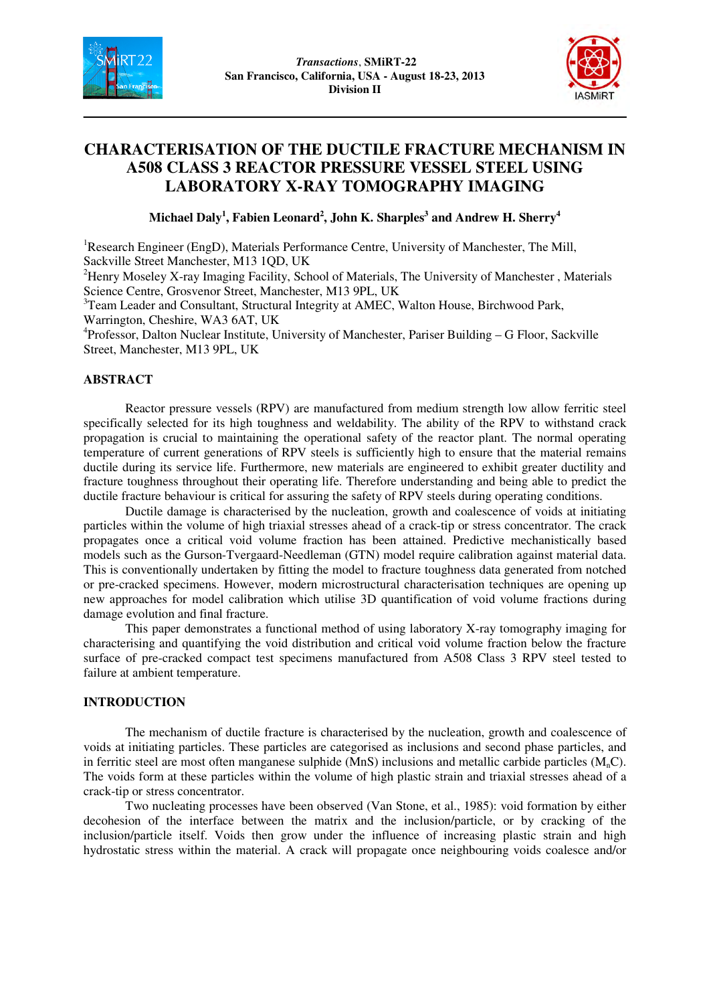



# **CHARACTERISATION OF THE DUCTILE FRACTURE MECHANISM IN A508 CLASS 3 REACTOR PRESSURE VESSEL STEEL USING LABORATORY X-RAY TOMOGRAPHY IMAGING**

**Michael Daly<sup>1</sup> , Fabien Leonard<sup>2</sup> , John K. Sharples<sup>3</sup> and Andrew H. Sherry<sup>4</sup>**

<sup>1</sup>Research Engineer (EngD), Materials Performance Centre, University of Manchester, The Mill, Sackville Street Manchester, M13 1QD, UK

<sup>2</sup>Henry Moseley X-ray Imaging Facility, School of Materials, The University of Manchester, Materials Science Centre, Grosvenor Street, Manchester, M13 9PL, UK

<sup>3</sup>Team Leader and Consultant, Structural Integrity at AMEC, Walton House, Birchwood Park, Warrington, Cheshire, WA3 6AT, UK

<sup>4</sup>Professor, Dalton Nuclear Institute, University of Manchester, Pariser Building – G Floor, Sackville Street, Manchester, M13 9PL, UK

## **ABSTRACT**

Reactor pressure vessels (RPV) are manufactured from medium strength low allow ferritic steel specifically selected for its high toughness and weldability. The ability of the RPV to withstand crack propagation is crucial to maintaining the operational safety of the reactor plant. The normal operating temperature of current generations of RPV steels is sufficiently high to ensure that the material remains ductile during its service life. Furthermore, new materials are engineered to exhibit greater ductility and fracture toughness throughout their operating life. Therefore understanding and being able to predict the ductile fracture behaviour is critical for assuring the safety of RPV steels during operating conditions.

Ductile damage is characterised by the nucleation, growth and coalescence of voids at initiating particles within the volume of high triaxial stresses ahead of a crack-tip or stress concentrator. The crack propagates once a critical void volume fraction has been attained. Predictive mechanistically based models such as the Gurson-Tvergaard-Needleman (GTN) model require calibration against material data. This is conventionally undertaken by fitting the model to fracture toughness data generated from notched or pre-cracked specimens. However, modern microstructural characterisation techniques are opening up new approaches for model calibration which utilise 3D quantification of void volume fractions during damage evolution and final fracture.

This paper demonstrates a functional method of using laboratory X-ray tomography imaging for characterising and quantifying the void distribution and critical void volume fraction below the fracture surface of pre-cracked compact test specimens manufactured from A508 Class 3 RPV steel tested to failure at ambient temperature.

## **INTRODUCTION**

The mechanism of ductile fracture is characterised by the nucleation, growth and coalescence of voids at initiating particles. These particles are categorised as inclusions and second phase particles, and in ferritic steel are most often manganese sulphide (MnS) inclusions and metallic carbide particles ( $M_nC$ ). The voids form at these particles within the volume of high plastic strain and triaxial stresses ahead of a crack-tip or stress concentrator.

Two nucleating processes have been observed (Van Stone, et al., 1985): void formation by either decohesion of the interface between the matrix and the inclusion/particle, or by cracking of the inclusion/particle itself. Voids then grow under the influence of increasing plastic strain and high hydrostatic stress within the material. A crack will propagate once neighbouring voids coalesce and/or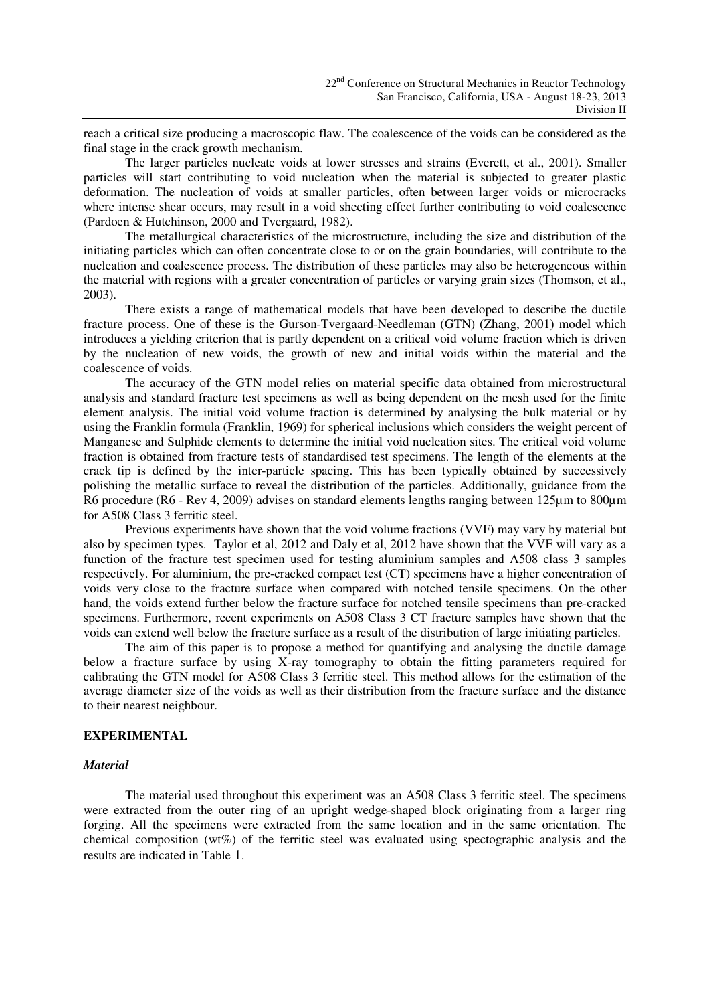reach a critical size producing a macroscopic flaw. The coalescence of the voids can be considered as the final stage in the crack growth mechanism.

The larger particles nucleate voids at lower stresses and strains (Everett, et al., 2001). Smaller particles will start contributing to void nucleation when the material is subjected to greater plastic deformation. The nucleation of voids at smaller particles, often between larger voids or microcracks where intense shear occurs, may result in a void sheeting effect further contributing to void coalescence (Pardoen & Hutchinson, 2000 and Tvergaard, 1982).

The metallurgical characteristics of the microstructure, including the size and distribution of the initiating particles which can often concentrate close to or on the grain boundaries, will contribute to the nucleation and coalescence process. The distribution of these particles may also be heterogeneous within the material with regions with a greater concentration of particles or varying grain sizes (Thomson, et al., 2003).

There exists a range of mathematical models that have been developed to describe the ductile fracture process. One of these is the Gurson-Tvergaard-Needleman (GTN) (Zhang, 2001) model which introduces a yielding criterion that is partly dependent on a critical void volume fraction which is driven by the nucleation of new voids, the growth of new and initial voids within the material and the coalescence of voids.

The accuracy of the GTN model relies on material specific data obtained from microstructural analysis and standard fracture test specimens as well as being dependent on the mesh used for the finite element analysis. The initial void volume fraction is determined by analysing the bulk material or by using the Franklin formula (Franklin, 1969) for spherical inclusions which considers the weight percent of Manganese and Sulphide elements to determine the initial void nucleation sites. The critical void volume fraction is obtained from fracture tests of standardised test specimens. The length of the elements at the crack tip is defined by the inter-particle spacing. This has been typically obtained by successively polishing the metallic surface to reveal the distribution of the particles. Additionally, guidance from the R6 procedure (R6 - Rev 4, 2009) advises on standard elements lengths ranging between 125um to 800um for A508 Class 3 ferritic steel.

Previous experiments have shown that the void volume fractions (VVF) may vary by material but also by specimen types. Taylor et al, 2012 and Daly et al, 2012 have shown that the VVF will vary as a function of the fracture test specimen used for testing aluminium samples and A508 class 3 samples respectively. For aluminium, the pre-cracked compact test (CT) specimens have a higher concentration of voids very close to the fracture surface when compared with notched tensile specimens. On the other hand, the voids extend further below the fracture surface for notched tensile specimens than pre-cracked specimens. Furthermore, recent experiments on A508 Class 3 CT fracture samples have shown that the voids can extend well below the fracture surface as a result of the distribution of large initiating particles.

The aim of this paper is to propose a method for quantifying and analysing the ductile damage below a fracture surface by using X-ray tomography to obtain the fitting parameters required for calibrating the GTN model for A508 Class 3 ferritic steel. This method allows for the estimation of the average diameter size of the voids as well as their distribution from the fracture surface and the distance to their nearest neighbour.

## **EXPERIMENTAL**

#### *Material*

The material used throughout this experiment was an A508 Class 3 ferritic steel. The specimens were extracted from the outer ring of an upright wedge-shaped block originating from a larger ring forging. All the specimens were extracted from the same location and in the same orientation. The chemical composition ( $wt\%$ ) of the ferritic steel was evaluated using spectographic analysis and the results are indicated in Table 1.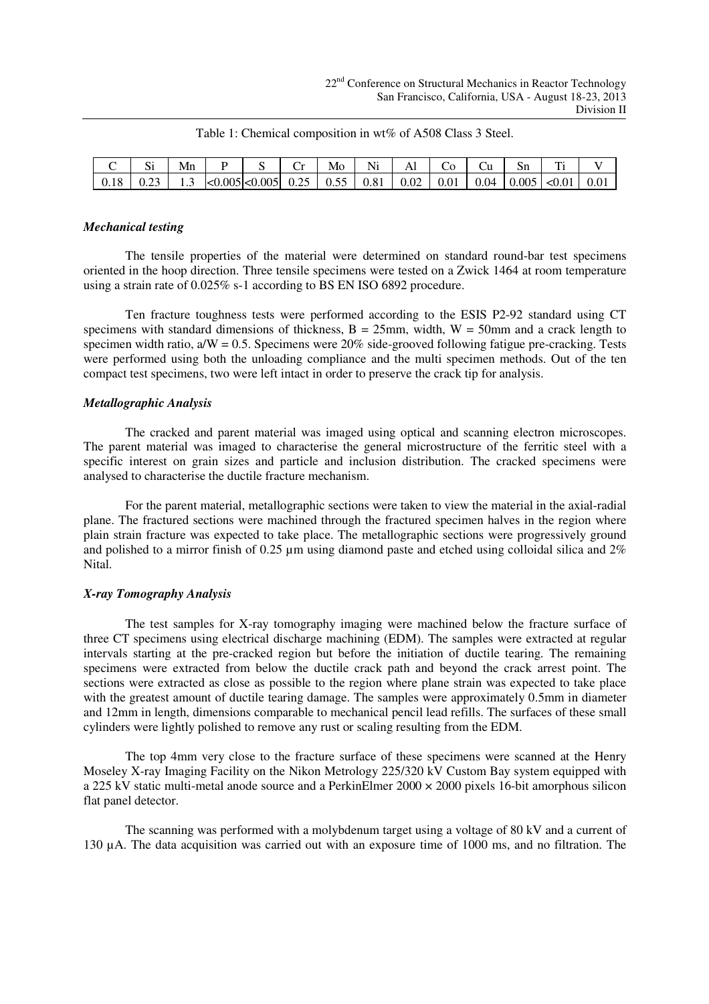|      | ື | Mn   | ◡                      | $\mathbf{L}$ | Mo   | $- - -$<br>N1 | AП   |      | ĊU           | Sп     | <b>START</b><br>. . |            |
|------|---|------|------------------------|--------------|------|---------------|------|------|--------------|--------|---------------------|------------|
| 0.18 |   | ر. د | $ <0.005 <0.005 $ 0.25 |              | 0.55 | 0.81          | 0.02 | 0.01 | $\perp 0.04$ | 10.005 | < 0.01              | $\rm 0.01$ |

Table 1: Chemical composition in wt% of A508 Class 3 Steel.

#### *Mechanical testing*

The tensile properties of the material were determined on standard round-bar test specimens oriented in the hoop direction. Three tensile specimens were tested on a Zwick 1464 at room temperature using a strain rate of 0.025% s-1 according to BS EN ISO 6892 procedure.

Ten fracture toughness tests were performed according to the ESIS P2-92 standard using CT specimens with standard dimensions of thickness,  $B = 25$ mm, width,  $W = 50$ mm and a crack length to specimen width ratio,  $a/W = 0.5$ . Specimens were 20% side-grooved following fatigue pre-cracking. Tests were performed using both the unloading compliance and the multi specimen methods. Out of the ten compact test specimens, two were left intact in order to preserve the crack tip for analysis.

## *Metallographic Analysis*

The cracked and parent material was imaged using optical and scanning electron microscopes. The parent material was imaged to characterise the general microstructure of the ferritic steel with a specific interest on grain sizes and particle and inclusion distribution. The cracked specimens were analysed to characterise the ductile fracture mechanism.

For the parent material, metallographic sections were taken to view the material in the axial-radial plane. The fractured sections were machined through the fractured specimen halves in the region where plain strain fracture was expected to take place. The metallographic sections were progressively ground and polished to a mirror finish of 0.25 µm using diamond paste and etched using colloidal silica and 2% Nital.

## *X-ray Tomography Analysis*

The test samples for X-ray tomography imaging were machined below the fracture surface of three CT specimens using electrical discharge machining (EDM). The samples were extracted at regular intervals starting at the pre-cracked region but before the initiation of ductile tearing. The remaining specimens were extracted from below the ductile crack path and beyond the crack arrest point. The sections were extracted as close as possible to the region where plane strain was expected to take place with the greatest amount of ductile tearing damage. The samples were approximately 0.5mm in diameter and 12mm in length, dimensions comparable to mechanical pencil lead refills. The surfaces of these small cylinders were lightly polished to remove any rust or scaling resulting from the EDM.

The top 4mm very close to the fracture surface of these specimens were scanned at the Henry Moseley X-ray Imaging Facility on the Nikon Metrology 225/320 kV Custom Bay system equipped with a 225 kV static multi-metal anode source and a PerkinElmer  $2000 \times 2000$  pixels 16-bit amorphous silicon flat panel detector.

The scanning was performed with a molybdenum target using a voltage of 80 kV and a current of 130 µA. The data acquisition was carried out with an exposure time of 1000 ms, and no filtration. The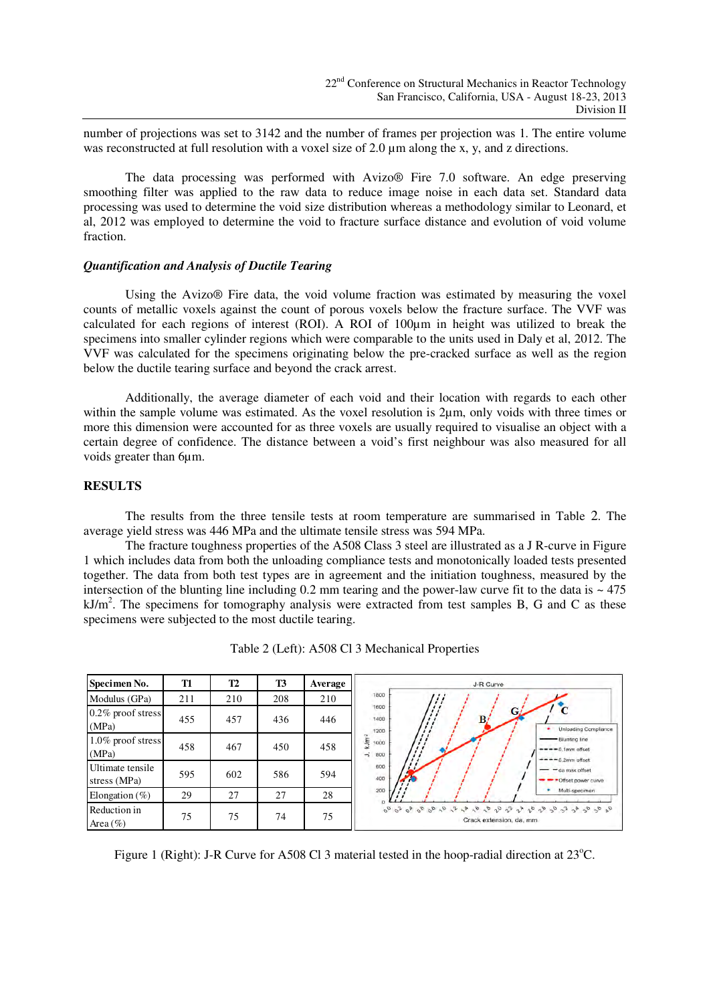number of projections was set to 3142 and the number of frames per projection was 1. The entire volume was reconstructed at full resolution with a voxel size of 2.0  $\mu$ m along the x, y, and z directions.

The data processing was performed with Avizo® Fire 7.0 software. An edge preserving smoothing filter was applied to the raw data to reduce image noise in each data set. Standard data processing was used to determine the void size distribution whereas a methodology similar to Leonard, et al, 2012 was employed to determine the void to fracture surface distance and evolution of void volume fraction.

#### *Quantification and Analysis of Ductile Tearing*

Using the Avizo® Fire data, the void volume fraction was estimated by measuring the voxel counts of metallic voxels against the count of porous voxels below the fracture surface. The VVF was calculated for each regions of interest (ROI). A ROI of 100µm in height was utilized to break the specimens into smaller cylinder regions which were comparable to the units used in Daly et al, 2012. The VVF was calculated for the specimens originating below the pre-cracked surface as well as the region below the ductile tearing surface and beyond the crack arrest.

Additionally, the average diameter of each void and their location with regards to each other within the sample volume was estimated. As the voxel resolution is 2um, only voids with three times or more this dimension were accounted for as three voxels are usually required to visualise an object with a certain degree of confidence. The distance between a void's first neighbour was also measured for all voids greater than 6µm.

#### **RESULTS**

The results from the three tensile tests at room temperature are summarised in Table 2. The average yield stress was 446 MPa and the ultimate tensile stress was 594 MPa.

The fracture toughness properties of the A508 Class 3 steel are illustrated as a J R-curve in Figure 1 which includes data from both the unloading compliance tests and monotonically loaded tests presented together. The data from both test types are in agreement and the initiation toughness, measured by the intersection of the blunting line including 0.2 mm tearing and the power-law curve fit to the data is  $\sim$  475  $kJ/m<sup>2</sup>$ . The specimens for tomography analysis were extracted from test samples B, G and C as these specimens were subjected to the most ductile tearing.

| Specimen No.                     | T1  | T2  | <b>T3</b> | Average | J-R Curve                                                                                       |  |  |  |  |
|----------------------------------|-----|-----|-----------|---------|-------------------------------------------------------------------------------------------------|--|--|--|--|
| Modulus (GPa)                    | 211 | 210 | 208       | 210     | 1800<br>li i                                                                                    |  |  |  |  |
| $0.2\%$ proof stress<br>(MPa)    | 455 | 457 | 436       | 446     | 1600<br>$G_L$<br>B.<br>1400<br><b>Unloading Compliance</b><br>1200                              |  |  |  |  |
| 1.0% proof stress<br>(MPa)       | 458 | 467 | 450       | 458     | $\frac{1}{2}$ 1000<br>- Blunting line<br>$--- 0.1$ mm offset<br>-5<br>800<br>$--- 0.2mm$ offset |  |  |  |  |
| Ultimate tensile<br>stress (MPa) | 595 | 602 | 586       | 594     | 600<br>a max offset<br>400<br>· Offset power curve                                              |  |  |  |  |
| Elongation $(\% )$               | 29  | 27  | 27        | 28      | 200<br>Multi-specimen<br>n.                                                                     |  |  |  |  |
| Reduction in<br>Area $(\% )$     | 75  | 75  | 74        | 75      | 00 03 03 06 06 10 13 16 16 16 16 16 16 16 16 17 18 19 10 10<br>Crack extension, da, mm          |  |  |  |  |

Table 2 (Left): A508 Cl 3 Mechanical Properties

Figure 1 (Right): J-R Curve for A508 Cl 3 material tested in the hoop-radial direction at  $23^{\circ}$ C.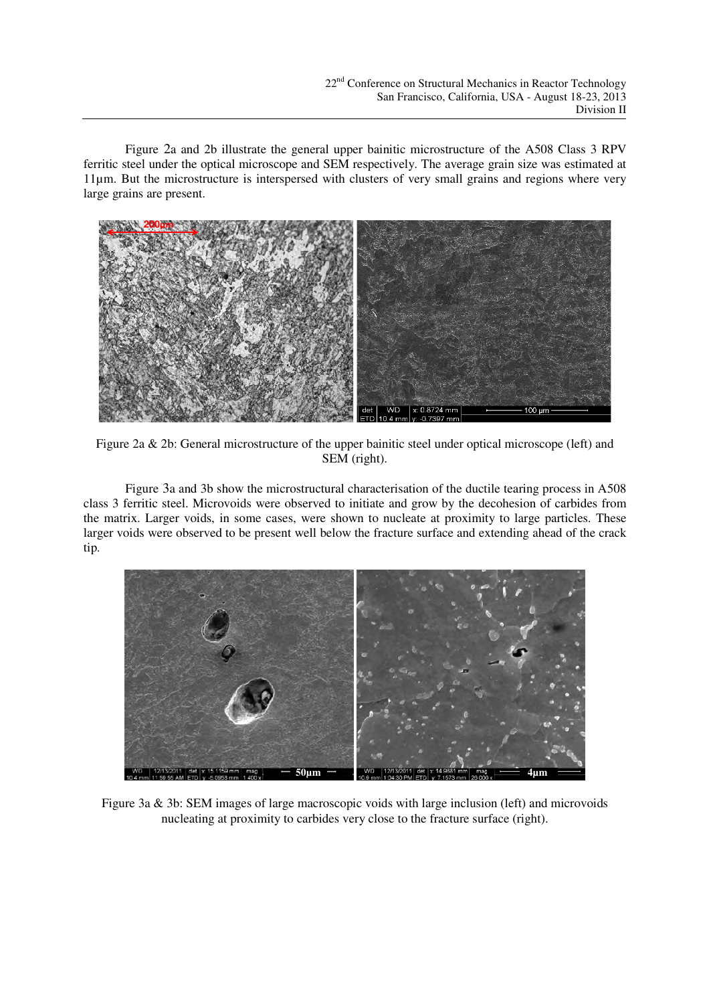Figure 2a and 2b illustrate the general upper bainitic microstructure of the A508 Class 3 RPV ferritic steel under the optical microscope and SEM respectively. The average grain size was estimated at 11µm. But the microstructure is interspersed with clusters of very small grains and regions where very large grains are present.



Figure 2a & 2b: General microstructure of the upper bainitic steel under optical microscope (left) and SEM (right).

Figure 3a and 3b show the microstructural characterisation of the ductile tearing process in A508 class 3 ferritic steel. Microvoids were observed to initiate and grow by the decohesion of carbides from the matrix. Larger voids, in some cases, were shown to nucleate at proximity to large particles. These larger voids were observed to be present well below the fracture surface and extending ahead of the crack tip.



Figure 3a & 3b: SEM images of large macroscopic voids with large inclusion (left) and microvoids nucleating at proximity to carbides very close to the fracture surface (right).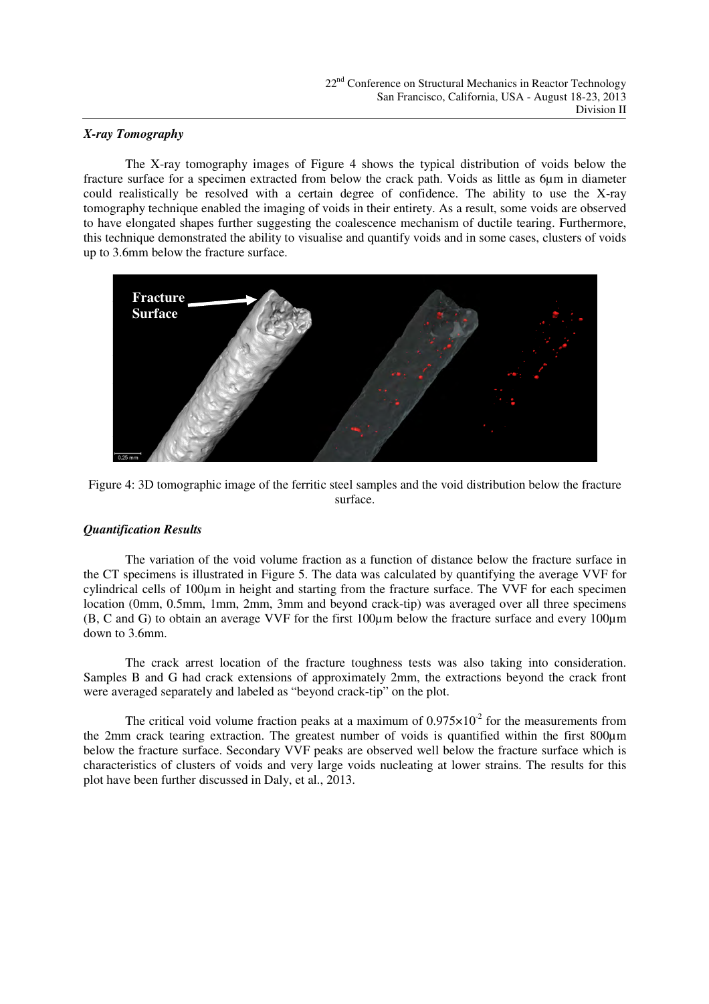## *X-ray Tomography*

The X-ray tomography images of Figure 4 shows the typical distribution of voids below the fracture surface for a specimen extracted from below the crack path. Voids as little as 6µm in diameter could realistically be resolved with a certain degree of confidence. The ability to use the X-ray tomography technique enabled the imaging of voids in their entirety. As a result, some voids are observed to have elongated shapes further suggesting the coalescence mechanism of ductile tearing. Furthermore, this technique demonstrated the ability to visualise and quantify voids and in some cases, clusters of voids up to 3.6mm below the fracture surface.





### *Quantification Results*

The variation of the void volume fraction as a function of distance below the fracture surface in the CT specimens is illustrated in Figure 5. The data was calculated by quantifying the average VVF for cylindrical cells of 100µm in height and starting from the fracture surface. The VVF for each specimen location (0mm, 0.5mm, 1mm, 2mm, 3mm and beyond crack-tip) was averaged over all three specimens (B, C and G) to obtain an average VVF for the first 100µm below the fracture surface and every 100µm down to 3.6mm.

The crack arrest location of the fracture toughness tests was also taking into consideration. Samples B and G had crack extensions of approximately 2mm, the extractions beyond the crack front were averaged separately and labeled as "beyond crack-tip" on the plot.

The critical void volume fraction peaks at a maximum of  $0.975 \times 10^{-2}$  for the measurements from the 2mm crack tearing extraction. The greatest number of voids is quantified within the first 800µm below the fracture surface. Secondary VVF peaks are observed well below the fracture surface which is characteristics of clusters of voids and very large voids nucleating at lower strains. The results for this plot have been further discussed in Daly, et al., 2013.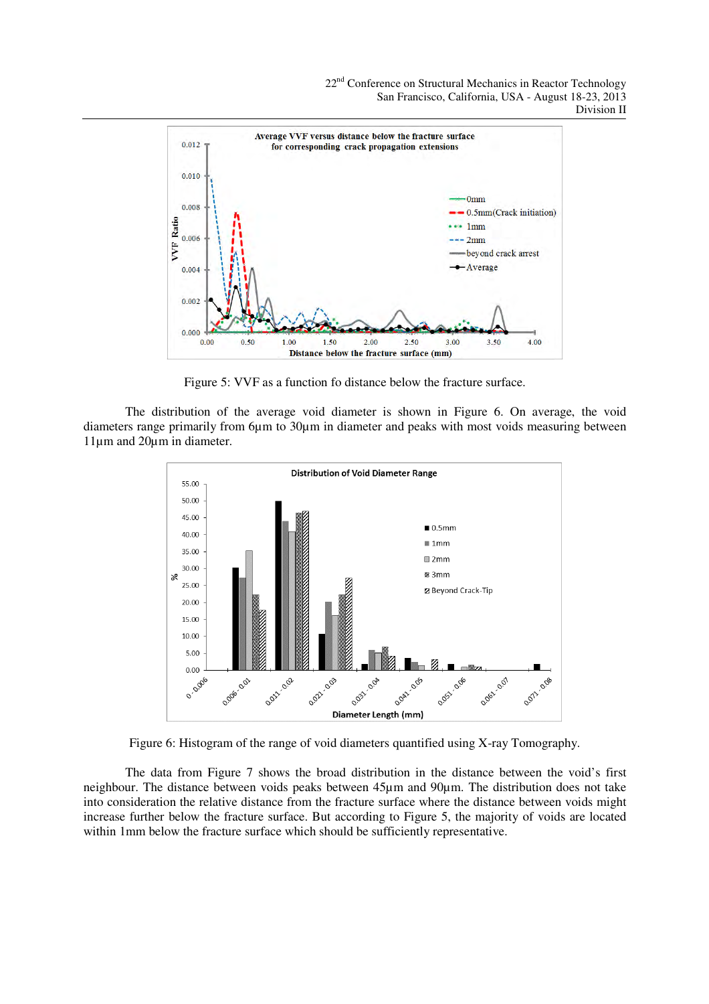

Figure 5: VVF as a function fo distance below the fracture surface.

The distribution of the average void diameter is shown in Figure 6. On average, the void diameters range primarily from 6um to 30um in diameter and peaks with most voids measuring between 11µm and 20µm in diameter.



Figure 6: Histogram of the range of void diameters quantified using X-ray Tomography.

The data from Figure 7 shows the broad distribution in the distance between the void's first neighbour. The distance between voids peaks between 45µm and 90µm. The distribution does not take into consideration the relative distance from the fracture surface where the distance between voids might increase further below the fracture surface. But according to Figure 5, the majority of voids are located within 1mm below the fracture surface which should be sufficiently representative.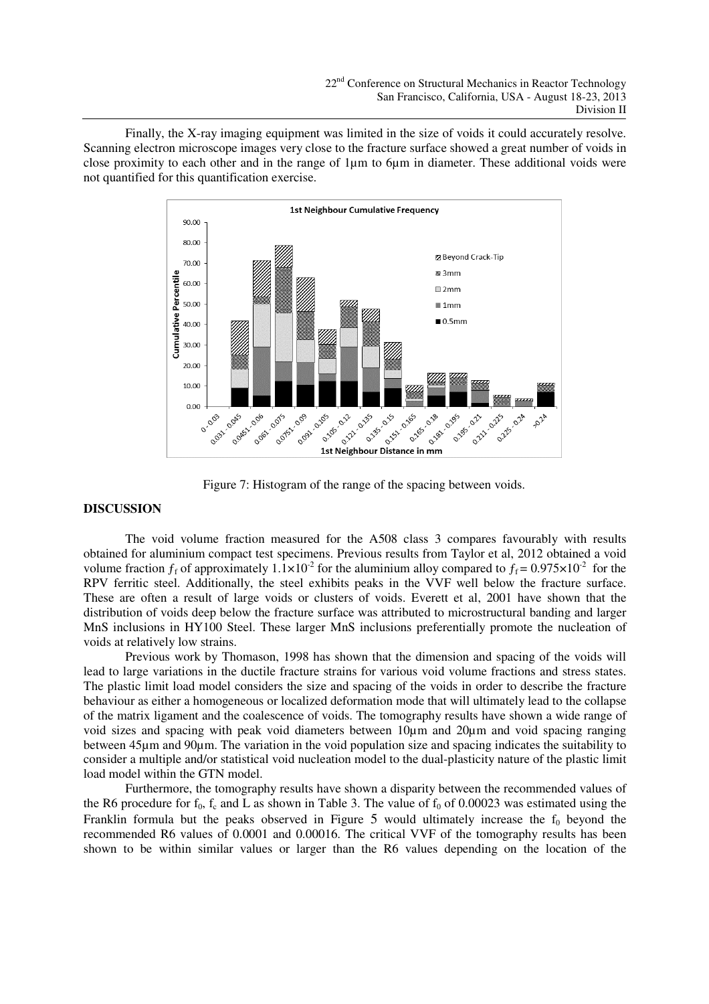Finally, the X-ray imaging equipment was limited in the size of voids it could accurately resolve. Scanning electron microscope images very close to the fracture surface showed a great number of voids in close proximity to each other and in the range of 1µm to 6µm in diameter. These additional voids were not quantified for this quantification exercise.



Figure 7: Histogram of the range of the spacing between voids.

## **DISCUSSION**

The void volume fraction measured for the A508 class 3 compares favourably with results obtained for aluminium compact test specimens. Previous results from Taylor et al, 2012 obtained a void volume fraction  $f_f$  of approximately  $1.1 \times 10^{-2}$  for the aluminium alloy compared to  $f_f = 0.975 \times 10^{-2}$  for the RPV ferritic steel. Additionally, the steel exhibits peaks in the VVF well below the fracture surface. These are often a result of large voids or clusters of voids. Everett et al, 2001 have shown that the distribution of voids deep below the fracture surface was attributed to microstructural banding and larger MnS inclusions in HY100 Steel. These larger MnS inclusions preferentially promote the nucleation of voids at relatively low strains.

Previous work by Thomason, 1998 has shown that the dimension and spacing of the voids will lead to large variations in the ductile fracture strains for various void volume fractions and stress states. The plastic limit load model considers the size and spacing of the voids in order to describe the fracture behaviour as either a homogeneous or localized deformation mode that will ultimately lead to the collapse of the matrix ligament and the coalescence of voids. The tomography results have shown a wide range of void sizes and spacing with peak void diameters between 10µm and 20µm and void spacing ranging between 45µm and 90µm. The variation in the void population size and spacing indicates the suitability to consider a multiple and/or statistical void nucleation model to the dual-plasticity nature of the plastic limit load model within the GTN model.

Furthermore, the tomography results have shown a disparity between the recommended values of the R6 procedure for  $f_0$ ,  $f_c$  and L as shown in Table 3. The value of  $f_0$  of 0.00023 was estimated using the Franklin formula but the peaks observed in Figure 5 would ultimately increase the  $f_0$  beyond the recommended R6 values of 0.0001 and 0.00016. The critical VVF of the tomography results has been shown to be within similar values or larger than the R6 values depending on the location of the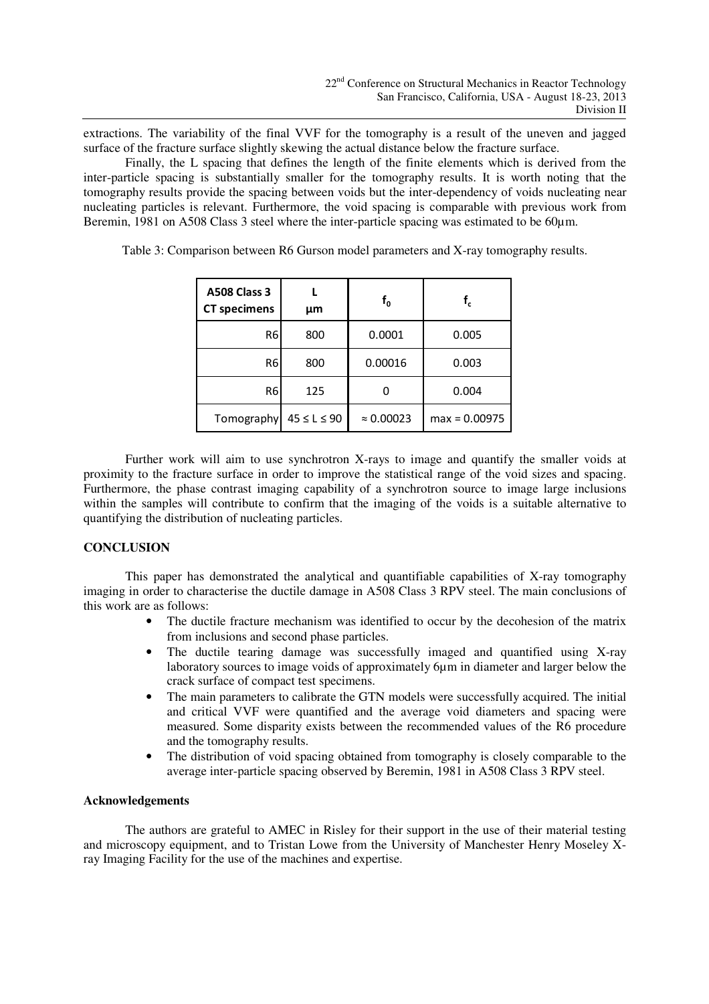extractions. The variability of the final VVF for the tomography is a result of the uneven and jagged surface of the fracture surface slightly skewing the actual distance below the fracture surface.

Finally, the L spacing that defines the length of the finite elements which is derived from the inter-particle spacing is substantially smaller for the tomography results. It is worth noting that the tomography results provide the spacing between voids but the inter-dependency of voids nucleating near nucleating particles is relevant. Furthermore, the void spacing is comparable with previous work from Beremin, 1981 on A508 Class 3 steel where the inter-particle spacing was estimated to be 60um.

| <b>A508 Class 3</b><br><b>CT specimens</b> | μm                | $f_0$             | f,              |  |
|--------------------------------------------|-------------------|-------------------|-----------------|--|
| R <sub>6</sub>                             | 800               | 0.0001            | 0.005           |  |
| R <sub>6</sub>                             | 800               | 0.00016           | 0.003           |  |
| R <sub>6</sub>                             | 125               |                   | 0.004           |  |
| Tomography                                 | $45 \le L \le 90$ | $\approx 0.00023$ | $max = 0.00975$ |  |

Table 3: Comparison between R6 Gurson model parameters and X-ray tomography results.

Further work will aim to use synchrotron X-rays to image and quantify the smaller voids at proximity to the fracture surface in order to improve the statistical range of the void sizes and spacing. Furthermore, the phase contrast imaging capability of a synchrotron source to image large inclusions within the samples will contribute to confirm that the imaging of the voids is a suitable alternative to quantifying the distribution of nucleating particles.

#### **CONCLUSION**

This paper has demonstrated the analytical and quantifiable capabilities of X-ray tomography imaging in order to characterise the ductile damage in A508 Class 3 RPV steel. The main conclusions of this work are as follows:

- The ductile fracture mechanism was identified to occur by the decohesion of the matrix from inclusions and second phase particles.
- The ductile tearing damage was successfully imaged and quantified using X-ray laboratory sources to image voids of approximately 6µm in diameter and larger below the crack surface of compact test specimens.
- The main parameters to calibrate the GTN models were successfully acquired. The initial and critical VVF were quantified and the average void diameters and spacing were measured. Some disparity exists between the recommended values of the R6 procedure and the tomography results.
- The distribution of void spacing obtained from tomography is closely comparable to the average inter-particle spacing observed by Beremin, 1981 in A508 Class 3 RPV steel.

## **Acknowledgements**

 The authors are grateful to AMEC in Risley for their support in the use of their material testing and microscopy equipment, and to Tristan Lowe from the University of Manchester Henry Moseley Xray Imaging Facility for the use of the machines and expertise.